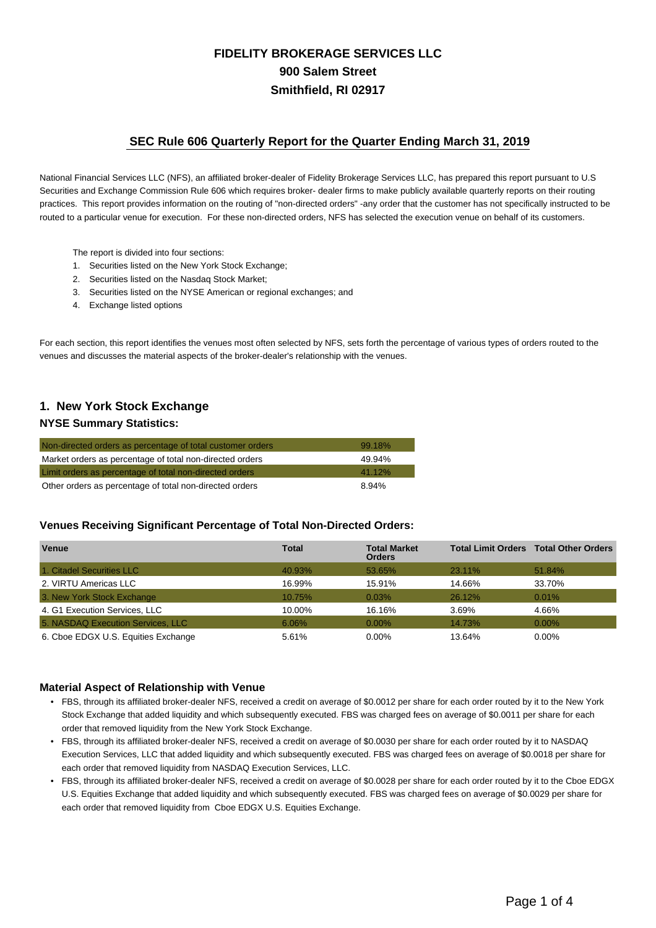# **FIDELITY BROKERAGE SERVICES LLC 900 Salem Street Smithfield, RI 02917**

### **SEC Rule 606 Quarterly Report for the Quarter Ending March 31, 2019**

National Financial Services LLC (NFS), an affiliated broker-dealer of Fidelity Brokerage Services LLC, has prepared this report pursuant to U.S Securities and Exchange Commission Rule 606 which requires broker- dealer firms to make publicly available quarterly reports on their routing practices. This report provides information on the routing of "non-directed orders" -any order that the customer has not specifically instructed to be routed to a particular venue for execution. For these non-directed orders, NFS has selected the execution venue on behalf of its customers.

- The report is divided into four sections:
- 1. Securities listed on the New York Stock Exchange;
- 2. Securities listed on the Nasdaq Stock Market;
- 3. Securities listed on the NYSE American or regional exchanges; and
- 4. Exchange listed options

For each section, this report identifies the venues most often selected by NFS, sets forth the percentage of various types of orders routed to the venues and discusses the material aspects of the broker-dealer's relationship with the venues.

# **1. New York Stock Exchange**

#### **NYSE Summary Statistics:**

| Non-directed orders as percentage of total customer orders | 99.18% |
|------------------------------------------------------------|--------|
| Market orders as percentage of total non-directed orders   | 49.94% |
| Limit orders as percentage of total non-directed orders    | 41.12% |
| Other orders as percentage of total non-directed orders    | 8.94%  |

#### **Venues Receiving Significant Percentage of Total Non-Directed Orders:**

| <b>Venue</b>                        | <b>Total</b> | <b>Total Market</b><br><b>Orders</b> |        | <b>Total Limit Orders Total Other Orders</b> |
|-------------------------------------|--------------|--------------------------------------|--------|----------------------------------------------|
| 1. Citadel Securities LLC           | 40.93%       | 53.65%                               | 23.11% | 51.84%                                       |
| 2. VIRTU Americas LLC               | 16.99%       | 15.91%                               | 14.66% | 33.70%                                       |
| 3. New York Stock Exchange          | 10.75%       | 0.03%                                | 26.12% | 0.01%                                        |
| 4. G1 Execution Services, LLC       | 10.00%       | 16.16%                               | 3.69%  | 4.66%                                        |
| 5. NASDAQ Execution Services, LLC   | 6.06%        | $0.00\%$                             | 14.73% | $0.00\%$                                     |
| 6. Cboe EDGX U.S. Equities Exchange | 5.61%        | 0.00%                                | 13.64% | $0.00\%$                                     |

#### **Material Aspect of Relationship with Venue**

- FBS, through its affiliated broker-dealer NFS, received a credit on average of \$0.0012 per share for each order routed by it to the New York Stock Exchange that added liquidity and which subsequently executed. FBS was charged fees on average of \$0.0011 per share for each order that removed liquidity from the New York Stock Exchange.
- FBS, through its affiliated broker-dealer NFS, received a credit on average of \$0.0030 per share for each order routed by it to NASDAQ Execution Services, LLC that added liquidity and which subsequently executed. FBS was charged fees on average of \$0.0018 per share for each order that removed liquidity from NASDAQ Execution Services, LLC.
- FBS, through its affiliated broker-dealer NFS, received a credit on average of \$0.0028 per share for each order routed by it to the Cboe EDGX U.S. Equities Exchange that added liquidity and which subsequently executed. FBS was charged fees on average of \$0.0029 per share for each order that removed liquidity from Cboe EDGX U.S. Equities Exchange.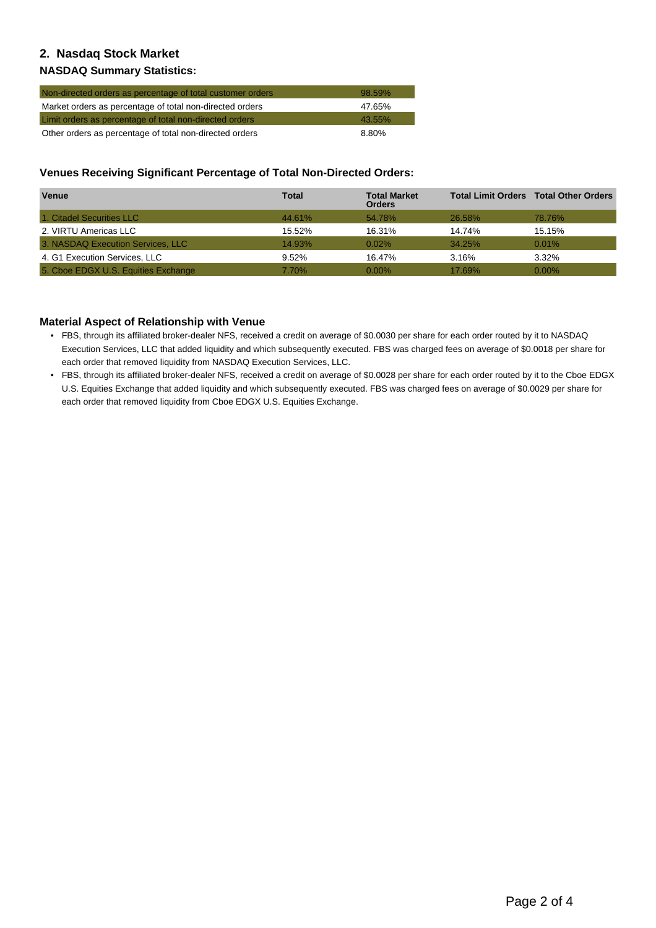## **2. Nasdaq Stock Market**

### **NASDAQ Summary Statistics:**

| Non-directed orders as percentage of total customer orders | 98.59% |
|------------------------------------------------------------|--------|
| Market orders as percentage of total non-directed orders   | 47.65% |
| Limit orders as percentage of total non-directed orders    | 43.55% |
| Other orders as percentage of total non-directed orders    | 8.80%  |

### **Venues Receiving Significant Percentage of Total Non-Directed Orders:**

| <b>Venue</b>                        | <b>Total</b> | <b>Total Market</b><br><b>Orders</b> |               | <b>Total Limit Orders Total Other Orders</b> |
|-------------------------------------|--------------|--------------------------------------|---------------|----------------------------------------------|
| 1. Citadel Securities LLC           | 44.61%       | 54.78%                               | <b>26.58%</b> | 78.76%                                       |
| 2. VIRTU Americas LLC               | 15.52%       | 16.31%                               | 14.74%        | 15.15%                                       |
| 3. NASDAQ Execution Services, LLC   | 14.93%       | $0.02\%$                             | 34.25%        | $0.01\%$                                     |
| 4. G1 Execution Services, LLC       | 9.52%        | 16.47%                               | 3.16%         | 3.32%                                        |
| 5. Cboe EDGX U.S. Equities Exchange | 7.70%        | $0.00\%$                             | 17.69%        | $0.00\%$                                     |

### **Material Aspect of Relationship with Venue**

- FBS, through its affiliated broker-dealer NFS, received a credit on average of \$0.0030 per share for each order routed by it to NASDAQ Execution Services, LLC that added liquidity and which subsequently executed. FBS was charged fees on average of \$0.0018 per share for each order that removed liquidity from NASDAQ Execution Services, LLC.
- FBS, through its affiliated broker-dealer NFS, received a credit on average of \$0.0028 per share for each order routed by it to the Cboe EDGX U.S. Equities Exchange that added liquidity and which subsequently executed. FBS was charged fees on average of \$0.0029 per share for each order that removed liquidity from Cboe EDGX U.S. Equities Exchange.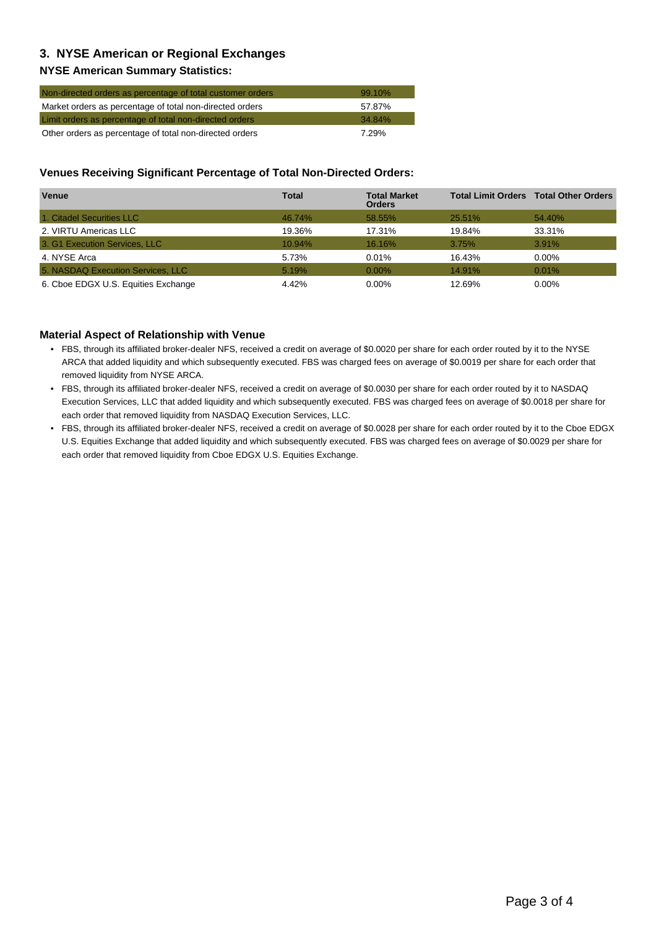# **3. NYSE American or Regional Exchanges**

### **NYSE American Summary Statistics:**

| Non-directed orders as percentage of total customer orders | $99.10\%$ |
|------------------------------------------------------------|-----------|
| Market orders as percentage of total non-directed orders   | 57.87%    |
| Limit orders as percentage of total non-directed orders    | 34.84%    |
| Other orders as percentage of total non-directed orders    | 7.29%     |

#### **Venues Receiving Significant Percentage of Total Non-Directed Orders:**

| Venue                               | <b>Total</b> | <b>Total Market</b><br><b>Orders</b> |        | <b>Total Limit Orders Total Other Orders</b> |
|-------------------------------------|--------------|--------------------------------------|--------|----------------------------------------------|
| 1. Citadel Securities LLC           | 46.74%       | 58.55%                               | 25.51% | 54.40%                                       |
| 2. VIRTU Americas LLC               | 19.36%       | 17.31%                               | 19.84% | 33.31%                                       |
| 3. G1 Execution Services, LLC       | 10.94%       | 16.16%                               | 3.75%  | 3.91%                                        |
| 4. NYSE Arca                        | 5.73%        | 0.01%                                | 16.43% | $0.00\%$                                     |
| 5. NASDAQ Execution Services, LLC   | 5.19%        | $0.00\%$                             | 14.91% | 0.01%                                        |
| 6. Cboe EDGX U.S. Equities Exchange | 4.42%        | $0.00\%$                             | 12.69% | $0.00\%$                                     |

### **Material Aspect of Relationship with Venue**

- FBS, through its affiliated broker-dealer NFS, received a credit on average of \$0.0020 per share for each order routed by it to the NYSE ARCA that added liquidity and which subsequently executed. FBS was charged fees on average of \$0.0019 per share for each order that removed liquidity from NYSE ARCA.
- FBS, through its affiliated broker-dealer NFS, received a credit on average of \$0.0030 per share for each order routed by it to NASDAQ Execution Services, LLC that added liquidity and which subsequently executed. FBS was charged fees on average of \$0.0018 per share for each order that removed liquidity from NASDAQ Execution Services, LLC.
- FBS, through its affiliated broker-dealer NFS, received a credit on average of \$0.0028 per share for each order routed by it to the Cboe EDGX U.S. Equities Exchange that added liquidity and which subsequently executed. FBS was charged fees on average of \$0.0029 per share for each order that removed liquidity from Cboe EDGX U.S. Equities Exchange.